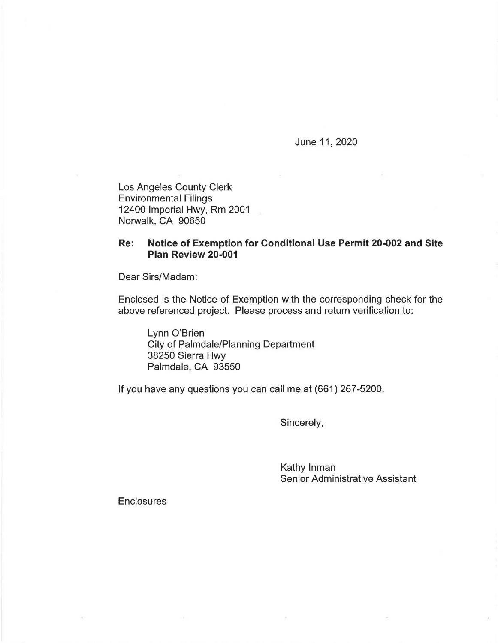June 11, 2020

Los Angeles County Clerk Environmental Filings 12400 Imperial Hwy, Rm 2001 Norwalk, CA 90650

## **Re: Notice of Exemption for Conditional Use Permit 20-002 and Site Plan Review 20-001**

Dear Sirs/Madam:

Enclosed is the Notice of Exemption with the corresponding check for the above referenced project. Please process and return verification to:

Lynn O'Brien City of Palmdale/Planning Department 38250 Sierra Hwy Palmdale, CA 93550

If you have any questions you can call me at (661) 267-5200.

Sincerely,

Kathy Inman Senior Administrative Assistant

**Enclosures**